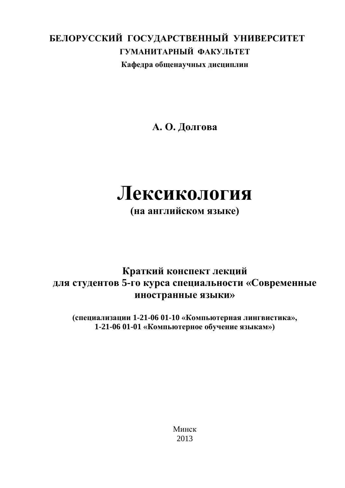#### **БЕЛОРУССКИЙ ГОСУДАРСТВЕННЫЙ УНИВЕРСИТЕТ ГУМАНИТАРНЫЙ ФАКУЛЬТЕТ Кафедра общенаучных дисциплин**

**А. О. Долгова**

# **Лексикология**

**(на английском языке)**

#### **Краткий конспект лекций для студентов 5-го курса специальности «Современные иностранные языки»**

**(специализации 1-21-06 01-10 «Компьютерная лингвистика», 1-21-06 01-01 «Компьютерное обучение языкам»)** 

> Минск 2013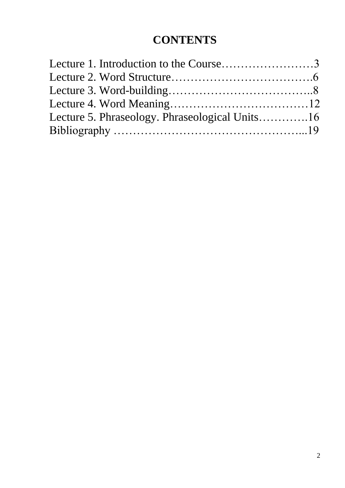#### **CONTENTS**

| Lecture 1. Introduction to the Course3 |  |                                                |  |
|----------------------------------------|--|------------------------------------------------|--|
|                                        |  |                                                |  |
|                                        |  | Lecture 5. Phraseology. Phraseological Units16 |  |
|                                        |  |                                                |  |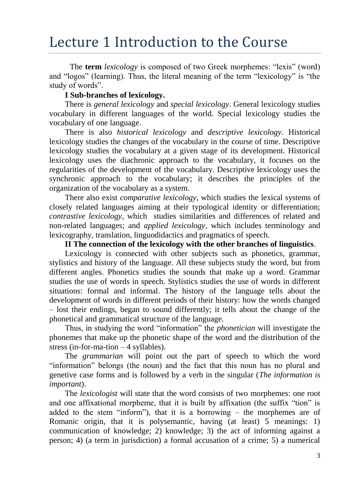### Lecture 1 Introduction to the Course

The **term** *lexicology* is composed of two Greek morphemes: "lexis" (word) and "logos" (learning). Thus, the literal meaning of the term "lexicology" is "the study of words".

#### **I Sub-branches of lexicology.**

There is *general lexicology* and *special lexicology*. General lexicology studies vocabulary in different languages of the world. Special lexicology studies the vocabulary of one language.

There is also *historical lexicology* and *descriptive lexicology*. Historical lexicology studies the changes of the vocabulary in the course of time. Descriptive lexicology studies the vocabulary at a given stage of its development. Historical lexicology uses the diachronic approach to the vocabulary, it focuses on the regularities of the development of the vocabulary. Descriptive lexicology uses the synchronic approach to the vocabulary; it describes the principles of the organization of the vocabulary as a system.

There also exist *comparative lexicology*, which studies the lexical systems of closely related languages aiming at their typological identity or differentiation; *contrastive lexicology*, which studies similarities and differences of related and non-related languages; and *applied lexicology*, which includes terminology and lexicography, translation, linguodidactics and pragmatics of speech.

**II The connection of the lexicology with the other branches of linguistics**.

Lexicology is connected with other subjects such as phonetics, grammar, stylistics and history of the language. All these subjects study the word, but from different angles. Phonetics studies the sounds that make up a word. Grammar studies the use of words in speech. Stylistics studies the use of words in different situations: formal and informal. The history of the language tells about the development of words in different periods of their history: how the words changed – lost their endings, began to sound differently; it tells about the change of the phonetical and grammatical structure of the language.

Thus, in studying the word "information" the *phonetician* will investigate the phonemes that make up the phonetic shape of the word and the distribution of the stress (in-for-ma-tion – 4 syllables).

The *grammarian* will point out the part of speech to which the word "information" belongs (the noun) and the fact that this noun has no plural and genetive case forms and is followed by a verb in the singular (*The information is important*).

The *lexicologist* will state that the word consists of two morphemes: one root and one affixational morpheme, that it is built by affixation (the suffix "tion" is added to the stem "inform"), that it is a borrowing – the morphemes are of Romanic origin, that it is polysemantic, having (at least) 5 meanings: 1) communication of knowledge; 2) knowledge; 3) the act of informing against a person; 4) (a term in jurisdiction) a formal accusation of a crime; 5) a numerical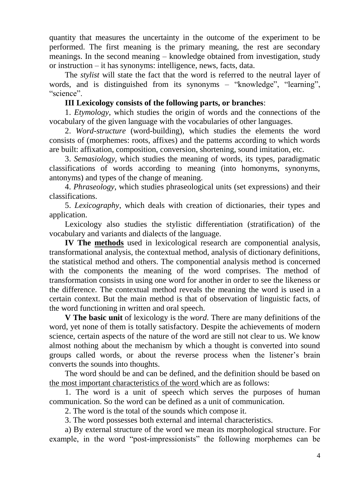quantity that measures the uncertainty in the outcome of the experiment to be performed. The first meaning is the primary meaning, the rest are secondary meanings. In the second meaning – knowledge obtained from investigation, study or instruction – it has synonyms: intelligence, news, facts, data.

The *stylist* will state the fact that the word is referred to the neutral layer of words, and is distinguished from its synonyms – "knowledge", "learning", "science".

#### **III Lexicology consists of the following parts, or branches**:

1. *Etymology*, which studies the origin of words and the connections of the vocabulary of the given language with the vocabularies of other languages.

2. *Word-structure* (word-building), which studies the elements the word consists of (morphemes: roots, affixes) and the patterns according to which words are built: affixation, composition, conversion, shortening, sound imitation, etc.

3. *Semasiology*, which studies the meaning of words, its types, paradigmatic classifications of words according to meaning (into homonyms, synonyms, antonyms) and types of the change of meaning.

4. *Phraseology*, which studies phraseological units (set expressions) and their classifications.

5. *Lexicography*, which deals with creation of dictionaries, their types and application.

Lexicology also studies the stylistic differentiation (stratification) of the vocabulary and variants and dialects of the language.

**IV The methods** used in lexicological research are componential analysis, transformational analysis, the contextual method, analysis of dictionary definitions, the statistical method and others. The componential analysis method is concerned with the components the meaning of the word comprises. The method of transformation consists in using one word for another in order to see the likeness or the difference. The contextual method reveals the meaning the word is used in a certain context. But the main method is that of observation of linguistic facts, of the word functioning in written and oral speech.

**V The basic unit** of lexicology is the *word*. There are many definitions of the word, yet none of them is totally satisfactory. Despite the achievements of modern science, certain aspects of the nature of the word are still not clear to us. We know almost nothing about the mechanism by which a thought is converted into sound groups called words, or about the reverse process when the listener's brain converts the sounds into thoughts.

The word should be and can be defined, and the definition should be based on the most important characteristics of the word which are as follows:

1. The word is a unit of speech which serves the purposes of human communication. So the word can be defined as a unit of communication.

2. The word is the total of the sounds which compose it.

3. The word possesses both external and internal characteristics.

a) By external structure of the word we mean its morphological structure. For example, in the word "post-impressionists" the following morphemes can be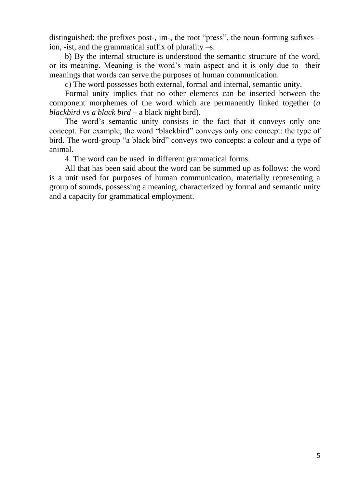distinguished: the prefixes post-, im-, the root "press", the noun-forming sufixes – ion, -ist, and the grammatical suffix of plurality –s.

b) By the internal structure is understood the semantic structure of the word, or its meaning. Meaning is the word's main aspect and it is only due to their meanings that words can serve the purposes of human communication.

c) The word possesses both external, formal and internal, semantic unity.

Formal unity implies that no other elements can be inserted between the component morphemes of the word which are permanently linked together (*a blackbird* vs *a black bird* – a black night bird).

The word's semantic unity consists in the fact that it conveys only one concept. For example, the word "blackbird" conveys only one concept: the type of bird. The word-group "a black bird" conveys two concepts: a colour and a type of animal.

4. The word can be used in different grammatical forms.

All that has been said about the word can be summed up as follows: the word is a unit used for purposes of human communication, materially representing a group of sounds, possessing a meaning, characterized by formal and semantic unity and a capacity for grammatical employment.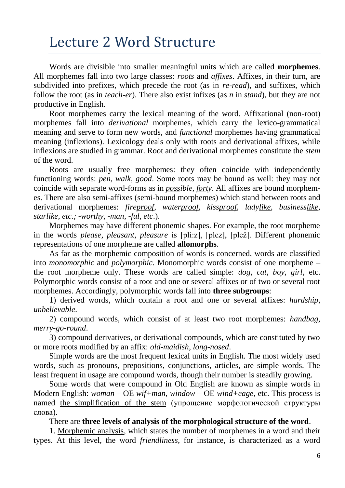### Lecture 2 Word Structure

Words are divisible into smaller meaningful units which are called **morphemes**. All morphemes fall into two large classes: *roots* and *affixes*. Affixes, in their turn, are subdivided into prefixes, which precede the root (as in *re-read*), and suffixes, which follow the root (as in *teach-er*). There also exist infixes (as *n* in *stand*), but they are not productive in English.

Root morphemes carry the lexical meaning of the word. Affixational (non-root) morphemes fall into *derivational* morphemes, which carry the lexico-grammatical meaning and serve to form new words, and *functional* morphemes having grammatical meaning (inflexions). Lexicology deals only with roots and derivational affixes, while inflexions are studied in grammar. Root and derivational morphemes constitute the *stem*  of the word.

Roots are usually free morphemes: they often coincide with independently functioning words: *pen, walk, good*. Some roots may be bound as well: they may not coincide with separate word-forms as in *possible*, *forty*. All affixes are bound morphemes. There are also semi-affixes (semi-bound morphemes) which stand between roots and derivational morphemes: *fireproof, waterproof, kissproof, ladylike, businesslike, starlike, etc.; -worthy, -man, -ful, etc*.).

Morphemes may have different phonemic shapes. For example, the root morpheme in the words *please*, *pleasant*, *pleasure* is [pli:z], [plez], [plež]. Different phonemic representations of one morpheme are called **allomorphs**.

As far as the morphemic composition of words is concerned, words are classified into *monomorphic* and *polymorphic*. Monomorphic words consist of one morpheme – the root morpheme only. These words are called simple: *dog, cat, boy, girl*, etc. Polymorphic words consist of a root and one or several affixes or of two or several root morphemes. Accordingly, polymorphic words fall into **three subgroups**:

1) derived words, which contain a root and one or several affixes: *hardship*, *unbelievable*.

2) compound words, which consist of at least two root morphemes: *handbag*, *merry-go-round*.

3) compound derivatives, or derivational compounds, which are constituted by two or more roots modified by an affix: *old-maidish*, *long-nosed*.

Simple words are the most frequent lexical units in English. The most widely used words, such as pronouns, prepositions, conjunctions, articles, are simple words. The least frequent in usage are compound words, though their number is steadily growing.

Some words that were compound in Old English are known as simple words in Modern English: *woman* – OE *wif+man, window* – OE *wind+eage*, etc. This process is named the simplification of the stem (упрощение морфологической структуры слова).

There are **three levels of analysis of the morphological structure of the word**.

1. Morphemic analysis, which states the number of morphemes in a word and their types. At this level, the word *friendliness*, for instance, is characterized as a word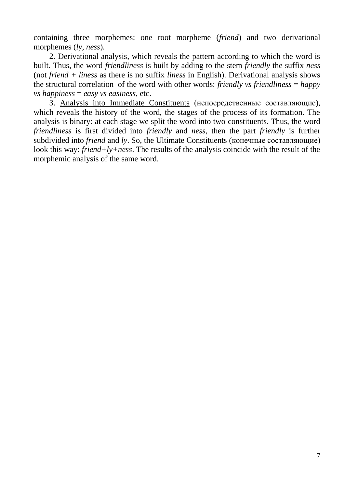containing three morphemes: one root morpheme (*friend*) and two derivational morphemes (*ly*, *ness*).

2. Derivational analysis, which reveals the pattern according to which the word is built. Thus, the word *friendliness* is built by adding to the stem *friendly* the suffix *ness*  (not *friend + liness* as there is no suffix *liness* in English). Derivational analysis shows the structural correlation of the word with other words: *friendly vs friendliness* = *happy vs happiness* = *easy vs easiness*, etc.

3. Analysis into Immediate Constituents (непосредственные составляющие), which reveals the history of the word, the stages of the process of its formation. The analysis is binary: at each stage we split the word into two constituents. Thus, the word *friendliness* is first divided into *friendly* and *ness*, then the part *friendly* is further subdivided into *friend* and *ly*. So, the Ultimate Constituents (конечные составляющие) look this way: *friend+ly+ness*. The results of the analysis coincide with the result of the morphemic analysis of the same word.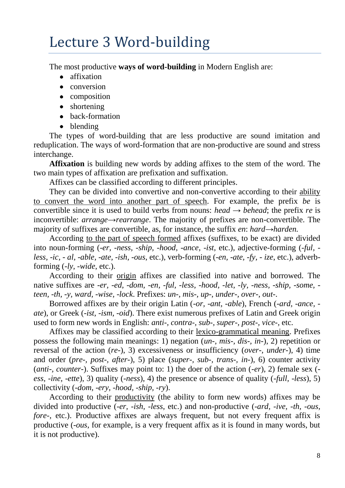## Lecture 3 Word-building

The most productive **ways of word-building** in Modern English are:

- affixation
- conversion
- composition
- shortening
- back-formation
- blending

The types of word-building that are less productive are sound imitation and reduplication. The ways of word-formation that are non-productive are sound and stress interchange.

**Affixation** is building new words by adding affixes to the stem of the word. The two main types of affixation are prefixation and suffixation.

Affixes can be classified according to different principles.

They can be divided into convertive and non-convertive according to their ability to convert the word into another part of speech. For example, the prefix *be* is convertible since it is used to build verbs from nouns: *head*  $\rightarrow$  *behead*; the prefix *re* is inconvertible: *arrange*→*rearrange*. The majority of prefixes are non-convertible. The majority of suffixes are convertible, as, for instance, the suffix *en*: *hard*→*harden.*

According to the part of speech formed affixes (suffixes, to be exact) are divided into noun-forming (*-er, -ness, -ship, -hood, -ance, -ist*, etc.), adjective-forming (*-ful, less, -ic, - al, -able, -ate, -ish, -ous*, etc.), verb-forming (*-en, -ate, -fy, - ize*, etc.), adverbforming (*-ly, -wide*, etc.).

According to their origin affixes are classified into native and borrowed. The native suffixes are *-er, -ed, -dom, -en, -ful, -less, -hood, -let, -ly, -ness, -ship, -some, teen, -th, -y, ward, -wise, -lock*. Prefixes: *un-, mis-, up-, under-, over-, out-*.

Borrowed affixes are by their origin Latin (*-or, -ant, -able*), French (*-ard, -ance, ate*), or Greek (*-ist, -ism, -oid*). There exist numerous prefixes of Latin and Greek origin used to form new words in English: *anti-, contra-, sub-, super-, post-, vice-*, etc.

Affixes may be classified according to their lexico-grammatical meaning. Prefixes possess the following main meanings: 1) negation (*un-, mis-, dis-, in-*), 2) repetition or reversal of the action (*re-*), 3) excessiveness or insufficiency (*over-, under-*), 4) time and order (*pre-, post-, after-*), 5) place (*super-, sub-, trans-, in-*), 6) counter activity (*anti-, counter-*). Suffixes may point to: 1) the doer of the action (-*er*), 2) female sex ( *ess, -ine, -ette*), 3) quality (-*ness*), 4) the presence or absence of quality (-*full, -less*), 5) collectivity (-*dom, -ery, -hood, -ship, -ry*).

According to their productivity (the ability to form new words) affixes may be divided into productive (-*er, -ish, -less*, etc.) and non-productive (-*ard, -ive, -th, -ous, fore-*, etc.). Productive affixes are always frequent, but not every frequent affix is productive (-*ous*, for example, is a very frequent affix as it is found in many words, but it is not productive).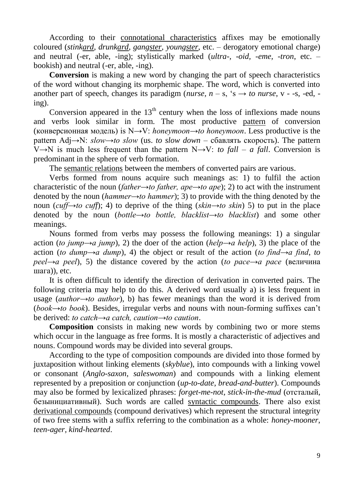According to their connotational characteristics affixes may be emotionally coloured (*stinkard, drunkard, gangster, youngster*, etc. – derogatory emotional charge) and neutral (-er, able, -ing); stylistically marked (*ultra-, -oid, -eme, -tron*, etc. – bookish) and neutral (-er, able, -ing).

**Conversion** is making a new word by changing the part of speech characteristics of the word without changing its morphemic shape. The word, which is converted into another part of speech, changes its paradigm (*nurse*,  $n - s$ , 's  $\rightarrow$  *to nurse*, v - -s, -ed, ing).

Conversion appeared in the  $13<sup>th</sup>$  century when the loss of inflexions made nouns and verbs look similar in form. The most productive pattern of conversion (конверсионная модель) is N→V: *honeymoon→to honeymoon*. Less productive is the pattern Adj→N: *slow→to slow* (us. *to slow down* – сбавлять скорость). The pattern V→N is much less frequent than the pattern N→V: *to fall – a fall*. Conversion is predominant in the sphere of verb formation.

The semantic relations between the members of converted pairs are various.

Verbs formed from nouns acquire such meanings as: 1) to fulfil the action characteristic of the noun (*father→to father, ape→to ape*); 2) to act with the instrument denoted by the noun (*hammer→to hammer*); 3) to provide with the thing denoted by the noun (*cuff→to cuff*); 4) to deprive of the thing (*skin→to skin*) 5) to put in the place denoted by the noun (*bottle→to bottle, blacklist→to blacklist*) and some other meanings.

Nouns formed from verbs may possess the following meanings: 1) a singular action (*to jump* $\rightarrow$ *a jump*), 2) the doer of the action (*help* $\rightarrow$ *a help*), 3) the place of the action (*to dump→a dump*), 4) the object or result of the action (*to find→a find*, *to peel→a peel*), 5) the distance covered by the action (*to pace→a pace* (величина шага)), etc.

It is often difficult to identify the direction of derivation in converted pairs. The following criteria may help to do this. A derived word usually a) is less frequent in usage (*author→to author*), b) has fewer meanings than the word it is derived from (*book→to book*). Besides, irregular verbs and nouns with noun-forming suffixes can't be derived: *to catch→a catch, caution→to caution*.

**Composition** consists in making new words by combining two or more stems which occur in the language as free forms. It is mostly a characteristic of adjectives and nouns. Compound words may be divided into several groups.

According to the type of composition compounds are divided into those formed by juxtaposition without linking elements (*skyblue*), into compounds with a linking vowel or consonant (*Anglo-saxon*, *saleswoman*) and compounds with a linking element represented by a preposition or conjunction (*up-to-date, bread-and-butter*). Compounds may also be formed by lexicalized phrases: *forget-me-not*, *stick-in-the-mud* (отсталый, безынициативный). Such words are called syntactic compounds. There also exist derivational compounds (compound derivatives) which represent the structural integrity of two free stems with a suffix referring to the combination as a whole: *honey-mooner*, *teen-ager, kind-hearted*.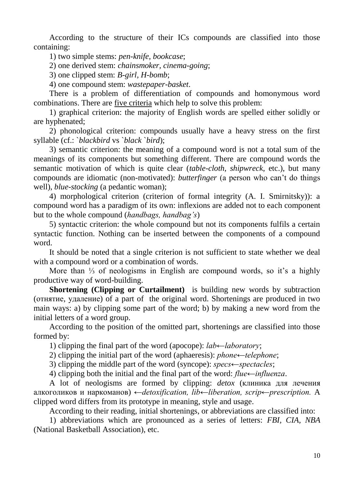According to the structure of their ICs compounds are classified into those containing:

1) two simple stems: *pen-knife, bookcase*;

2) one derived stem: *chainsmoker, cinema-going*;

3) one clipped stem: *B-girl, H-bomb*;

4) one compound stem: *wastepaper-basket*.

There is a problem of differentiation of compounds and homonymous word combinations. There are five criteria which help to solve this problem:

1) graphical criterion: the majority of English words are spelled either solidly or are hyphenated;

2) phonological criterion: compounds usually have a heavy stress on the first syllable (cf.: `*blackbird* vs `*black* `*bird*);

3) semantic criterion: the meaning of a compound word is not a total sum of the meanings of its components but something different. There are compound words the semantic motivation of which is quite clear (*table-cloth*, *shipwreck*, etc.), but many compounds are idiomatic (non-motivated): *butterfinger* (a person who can't do things well), *blue-stocking* (a pedantic woman);

4) morphological criterion (criterion of formal integrity (A. I. Smirnitsky)): a compound word has a paradigm of its own: inflexions are added not to each component but to the whole compound (*handbags, handbag's*)

5) syntactic criterion: the whole compound but not its components fulfils a certain syntactic function. Nothing can be inserted between the components of a compound word.

It should be noted that a single criterion is not sufficient to state whether we deal with a compound word or a combination of words.

More than <sup>1/3</sup> of neologisms in English are compound words, so it's a highly productive way of word-building.

**Shortening (Clipping or Curtailment)** is building new words by subtraction (отнятие, удаление) of a part of the original word. Shortenings are produced in two main ways: a) by clipping some part of the word; b) by making a new word from the initial letters of a word group.

According to the position of the omitted part, shortenings are classified into those formed by:

1) clipping the final part of the word (apocope): *lab←laboratory*;

2) clipping the initial part of the word (aphaeresis): *phone←telephone*;

3) clipping the middle part of the word (syncope): *specs←spectacles*;

4) clipping both the initial and the final part of the word: *flue←influenza*.

A lot of neologisms are formed by clipping: *detox* (клиника для лечения алкоголиков и наркоманов) *←detoxification, lib←liberation, scrip←prescription.* A clipped word differs from its prototype in meaning, style and usage.

According to their reading, initial shortenings, or abbreviations are classified into:

1) abbreviations which are pronounced as a series of letters: *FBI, CIA, NBA*  (National Basketball Association), etc.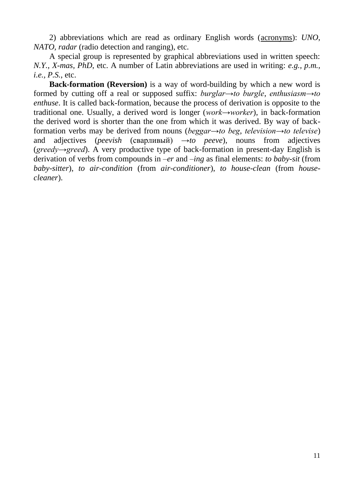2) abbreviations which are read as ordinary English words (acronyms): *UNO, NATO, radar* (radio detection and ranging), etc.

A special group is represented by graphical abbreviations used in written speech: *N.Y., X-mas, PhD*, etc. A number of Latin abbreviations are used in writing: *e.g., p.m., i.e., P.S.*, etc.

**Back-formation (Reversion)** is a way of word-building by which a new word is formed by cutting off a real or supposed suffix: *burglar→to burgle*, *enthusiasm→to enthuse*. It is called back-formation, because the process of derivation is opposite to the traditional one. Usually, a derived word is longer (*work→worker*), in back-formation the derived word is shorter than the one from which it was derived. By way of backformation verbs may be derived from nouns (*beggar→to beg*, *television→to televise*) and adjectives (*peevish* (сварливый)  $\rightarrow$ *to peeve*), nouns from adjectives (*greedy→greed*). A very productive type of back-formation in present-day English is derivation of verbs from compounds in *–er* and *–ing* as final elements: *to baby-sit* (from *baby-sitter*), *to air-condition* (from *air-conditioner*), *to house-clean* (from *housecleaner*).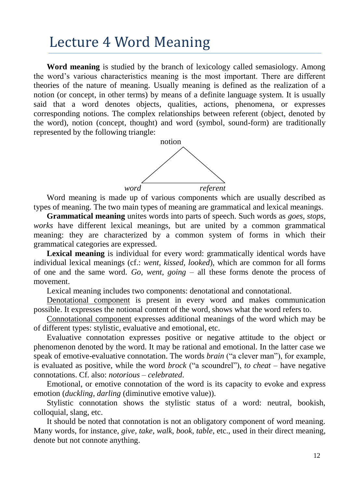#### Lecture 4 Word Meaning

**Word meaning** is studied by the branch of lexicology called semasiology. Among the word's various characteristics meaning is the most important. There are different theories of the nature of meaning. Usually meaning is defined as the realization of a notion (or concept, in other terms) by means of a definite language system. It is usually said that a word denotes objects, qualities, actions, phenomena, or expresses corresponding notions. The complex relationships between referent (object, denoted by the word), notion (concept, thought) and word (symbol, sound-form) are traditionally represented by the following triangle:



Word meaning is made up of various components which are usually described as types of meaning. The two main types of meaning are grammatical and lexical meanings.

**Grammatical meaning** unites words into parts of speech. Such words as *goes, stops, works* have different lexical meanings, but are united by a common grammatical meaning: they are characterized by a common system of forms in which their grammatical categories are expressed.

**Lexical meaning** is individual for every word: grammatically identical words have individual lexical meanings (cf.: *went, kissed, looked*), which are common for all forms of one and the same word. *Go, went, going* – all these forms denote the process of movement.

Lexical meaning includes two components: denotational and connotational.

Denotational component is present in every word and makes communication possible. It expresses the notional content of the word, shows what the word refers to.

Connotational component expresses additional meanings of the word which may be of different types: stylistic, evaluative and emotional, etc.

Evaluative connotation expresses positive or negative attitude to the object or phenomenon denoted by the word. It may be rational and emotional. In the latter case we speak of emotive-evaluative connotation. The words *brain* ("a clever man"), for example, is evaluated as positive, while the word *brock* ("a scoundrel"), *to cheat* – have negative connotations. Cf. also: *notorious* – *celebrated*.

Emotional, or emotive connotation of the word is its capacity to evoke and express emotion (*duckling, darling* (diminutive emotive value)).

Stylistic connotation shows the stylistic status of a word: neutral, bookish, colloquial, slang, etc.

It should be noted that connotation is not an obligatory component of word meaning. Many words, for instance, *give, take, walk, book, table*, etc., used in their direct meaning, denote but not connote anything.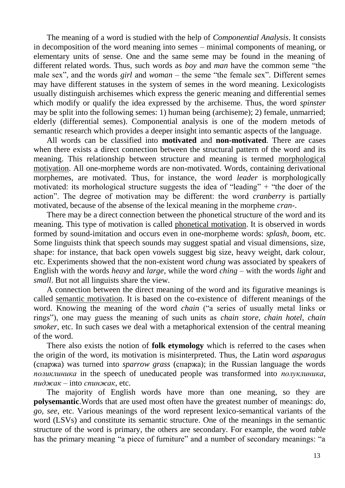The meaning of a word is studied with the help of *Componential Analysis*. It consists in decomposition of the word meaning into semes – minimal components of meaning, or elementary units of sense. One and the same seme may be found in the meaning of different related words. Thus, such words as *boy* and *man* have the common seme "the male sex", and the words *girl* and *woman* – the seme "the female sex". Different semes may have different statuses in the system of semes in the word meaning. Lexicologists usually distinguish archisemes which express the generic meaning and differential semes which modify or qualify the idea expressed by the archiseme. Thus, the word *spinster* may be split into the following semes: 1) human being (archiseme); 2) female, unmarried; elderly (differential semes). Componential analysis is one of the modern metods of semantic research which provides a deeper insight into semantic aspects of the language.

All words can be classified into **motivated** and **non-motivated**. There are cases when there exists a direct connection between the structural pattern of the word and its meaning. This relationship between structure and meaning is termed morphological motivation. All one-morpheme words are non-motivated. Words, containing derivational morphemes, are motivated. Thus, for instance, the word *leader* is morphologically motivated: its morhological structure suggests the idea of "leading"  $+$  "the doer of the action". The degree of motivation may be different: the word *cranberry* is partially motivated, because of the absense of the lexical meaning in the morpheme *cran*-.

There may be a direct connection between the phonetical structure of the word and its meaning. This type of motivation is called phonetical motivation. It is observed in words formed by sound-imitation and occurs even in one-morpheme words: *splash*, *boom*, etc. Some linguists think that speech sounds may suggest spatial and visual dimensions, size, shape: for instance, that back open vowels suggest big size, heavy weight, dark colour, etc. Experiments showed that the non-existent word *chung* was associated by speakers of English with the words *heavy* and *large*, while the word *ching* – with the words *light* and *small*. But not all linguists share the view.

A connection between the direct meaning of the word and its figurative meanings is called semantic motivation. It is based on the co-existence of different meanings of the word. Knowing the meaning of the word *chain* ("a series of usually metal links or rings"), one may guess the meaning of such units as *chain store*, *chain hotel*, *chain smoker*, etc. In such cases we deal with a metaphorical extension of the central meaning of the word.

There also exists the notion of **folk etymology** which is referred to the cases when the origin of the word, its motivation is misinterpreted. Thus, the Latin word *asparagus* (спаржа) was turned into *sparrow grass* (спаржа); in the Russian language the words *поликлиника* in the speech of uneducated people was transformed into *полуклиника*, *пиджак* – into *спинжак*, etc.

The majority of English words have more than one meaning, so they are **polysemantic**.Words that are used most often have the greatest number of meanings: *do, go, see*, etc. Various meanings of the word represent lexico-semantical variants of the word (LSVs) and constitute its semantic structure. One of the meanings in the semantic structure of the word is primary, the others are secondary. For example, the word *table* has the primary meaning "a piece of furniture" and a number of secondary meanings: "a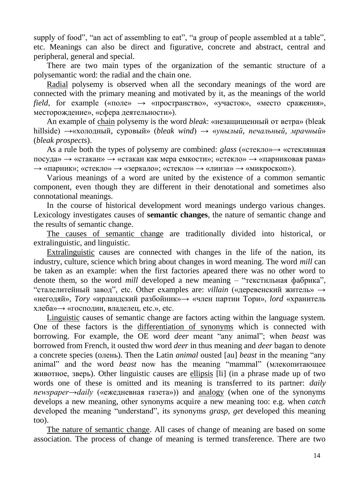supply of food", "an act of assembling to eat", "a group of people assembled at a table", etc. Meanings can also be direct and figurative, concrete and abstract, central and peripheral, general and special.

There are two main types of the organization of the semantic structure of a polysemantic word: the radial and the chain one.

Radial polysemy is observed when all the secondary meanings of the word are connected with the primary meaning and motivated by it, as the meanings of the world *field*, for example («поле»  $\rightarrow$  «пространство», «участок», «место сражения», месторождение», «сфера деятельности»).

An example of chain polysemy is the word *bleak*: «незащищенный от ветра» (bleak hillside) →«холодный, суровый» (*bleak wind*) → «*унылый, печальный, мрачный*» (*bleak prospects*).

As a rule both the types of polysemy are combined: *glass* («стекло»→ «стеклянная посуда» → «стакан» → «стакан как мера емкости»; «стекло» → «парниковая рама»  $\rightarrow$  «парник»; «стекло»  $\rightarrow$  «зеркало»; «стекло»  $\rightarrow$  «линза»  $\rightarrow$  «микроскоп»).

Various meanings of a word are united by the existence of a common semantic component, even though they are different in their denotational and sometimes also connotational meanings.

In the course of historical development word meanings undergo various changes. Lexicology investigates causes of **semantic changes**, the nature of semantic change and the results of semantic change.

The causes of semantic change are traditionally divided into historical, or extralinguistic, and linguistic.

Extralinguistic causes are connected with changes in the life of the nation, its industry, culture, science which bring about changes in word meaning. The word *mill* can be taken as an example: when the first factories apeared there was no other word to denote them, so the word *mill* developed a new meaning – "текстильная фабрика", "сталелитейный завод", etc. Other examples are: *villain* («деревенский житель» → «негодяй», *Tory* «ирландский разбойник»→ «член партии Тори», *lord* «хранитель хлеба»→ «господин, владелец, etc.», etc.

Linguistic causes of semantic change are factors acting within the language system. One of these factors is the differentiation of synonyms which is connected with borrowing. For example, the OE word *deer* meant "any animal"; when *beast* was borrowed from French, it ousted thw word *deer* in thus meaning and *deer* bagan to denote a concrete species (oлень). Then the Latin *animal* ousted [au] *beast* in the meaning "any animal" and the word *beast* now has the meaning "mammal" (млекопитающее животное, зверь). Other linguistic causes are ellipsis [li] (in a phrase made up of two words one of these is omitted and its meaning is transferred to its partner: *daily newspaper→daily* («ежедневная газета»)) and analogy (when one of the synonyms develops a new meaning, other synonyms acquire a new meaning too: e.g. when *catch* developed the meaning "understand", its synonyms *grasp*, *get* developed this meaning too).

The nature of semantic change. All cases of change of meaning are based on some association. The process of change of meaning is termed transference. There are two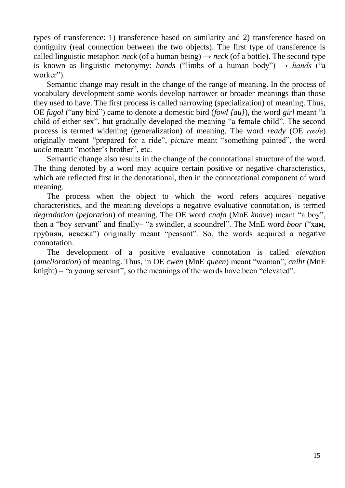types of transference: 1) transference based on similarity and 2) transference based on contiguity (real connection between the two objects). The first type of transference is called linguistic metaphor: *neck* (of a human being)  $\rightarrow$  *neck* (of a bottle). The second type is known as linguistic metonymy: *hands* ("limbs of a human body")  $\rightarrow$  *hands* ("a worker").

Semantic change may result in the change of the range of meaning. In the process of vocabulary development some words develop narrower or broader meanings than those they used to have. The first process is called narrowing (specialization) of meaning. Thus, OE *fugol* ("any bird") came to denote a domestic bird (*fowl [au]*), the word *girl* meant "a child of either sex", but gradually developed the meaning "a female child". The second process is termed widening (generalization) of meaning. The word *ready* (OE *ræde*) originally meant "prepared for a ride", *picture* meant "something painted", the word *uncle* meant "mother's brother", etc.

Semantic change also results in the change of the connotational structure of the word. The thing denoted by a word may acquire certain positive or negative characteristics, which are reflected first in the denotational, then in the connotational component of word meaning.

The process when the object to which the word refers acquires negative characteristics, and the meaning develops a negative evaluative connotation, is termed *degradation* (*pejoration*) of meaning. The OE word *cnafa* (MnE *knave*) meant "a boy", then a "boy servant" and finally– "a swindler, a scoundrel". The MnE word *boor* ("хам, грубиян, невежа") originally meant "peasant". So, the words acquired a negative connotation.

The development of a positive evaluative connotation is called *elevation* (*amelioration*) of meaning. Thus, in OE *cwen* (MnE *queen*) meant "woman", *cniht* (MnE knight) – "a young servant", so the meanings of the words have been "elevated".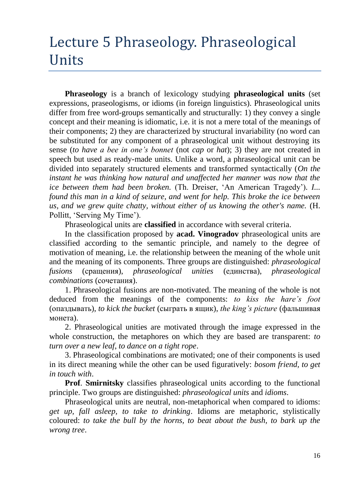# Lecture 5 Phraseology. Phraseological Units

**Phraseology** is a branch of lexicology studying **phraseological units** (set expressions, praseologisms, or idioms (in foreign linguistics). Phraseological units differ from free word-groups semantically and structurally: 1) they convey a single concept and their meaning is idiomatic, i.e. it is not a mere total of the meanings of their components; 2) they are characterized by structural invariability (no word can be substituted for any component of a phraseological unit without destroying its sense (*to have a bee in one's bonnet* (not *cap* or *hat*); 3) they are not created in speech but used as ready-made units. Unlike a word, a phraseological unit can be divided into separately structured elements and transformed syntactically (*On the instant he was thinking how natural and unaffected her manner was now that the ice between them had been broken.* (Th. Dreiser, 'An American Tragedy')*. I... found this man in a kind of seizure, and went for help. This broke the ice between us, and we grew quite chatty, without either of us knowing the other's name.* (H. Pollitt, 'Serving My Time').

Phraseological units are **classified** in accordance with several criteria.

In the classification proposed by **acad. Vinogradov** phraseological units are classified according to the semantic principle, and namely to the degree of motivation of meaning, i.e. the relationship between the meaning of the whole unit and the meaning of its components. Three groups are distinguished: *phraseological fusions* (сращения), *phraseological unities* (единства), *phraseological combinations* (сочетания).

1. Phraseological fusions are non-motivated. The meaning of the whole is not deduced from the meanings of the components: *to kiss the hare's foot* (опаздывать), *to kick the bucket* (сыграть в ящик), *the king's picture* (фальшивая монета).

2. Phraseological unities are motivated through the image expressed in the whole construction, the metaphores on which they are based are transparent: *to turn over a new leaf*, *to dance on a tight rope*.

3. Phraseological combinations are motivated; one of their components is used in its direct meaning while the other can be used figuratively: *bosom friend, to get in touch with*.

**Prof**. **Smirnitsky** classifies phraseological units according to the functional principle. Two groups are distinguished: *phraseological units* and *idioms*.

Phraseological units are neutral, non-metaphorical when compared to idioms: *get up, fall asleep, to take to drinking*. Idioms are metaphoric, stylistically coloured: *to take the bull by the horns, to beat about the bush, to bark up the wrong tree*.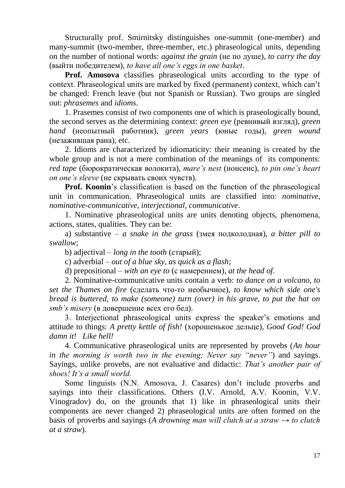Structurally prof. Smirnitsky distinguishes one-summit (one-member) and many-summit (two-member, three-member, etc.) phraseological units, depending on the number of notional words: *against the grain* (не по душе), *to carry the day* (выйти победителем), *to have all one's eggs in one basket*.

**Prof. Amosova** classifies phraseological units according to the type of context. Phraseological units are marked by fixed (permanent) context, which can't be changed: French leave (but not Spanish or Russian). Two groups are singled out: *phrasemes* and *idioms*.

1. Prasemes consist of two components one of which is praseologically bound, the second serves as the determining context: *green eye* (ревнивый взгляд), *green hand* (неопытный работник), *green years* (юные годы), *green wound* (незажившая рана), etc.

2. Idioms are characterized by idiomaticity: their meaning is created by the whole group and is not a mere combination of the meanings of its components: *red tape* (бюрократическая волокита), *mare's nest* (нонсенс), *to pin one's heart on one's sleeve* (не скрывать своих чувств).

**Prof. Koonin**'s classification is based on the function of the phraseological unit in communication. Phraseological units are classified into: *nominative, nominative-communicative, interjectional, communicative*.

1. Nominative phraseological units are units denoting objects, phenomena, actions, states, qualities. They can be:

a) substantive – *a snake in the grass* (змея подколодная), *a bitter pill to swallow*;

b) adjectival – *long in the tooth* (старый);

c) adverbial – *out of a blue sky, as quick as a flash*;

d) prepositional – *with an eye to* (с намерением), *at the head of*.

2. Nominative-communicative units contain a verb: *to dance on a volcano, to set the Thames on fire* (сделать что-то необычное), *to know which side one's bread is buttered, to make (someone) turn (over) in his grave, to put the hat on smb's misery* (в довершение всех его бед).

3. Interjectional phraseological units express the speaker's emotions and attitude to things: *A pretty kettle of fish!* (хорошенькое дельце), *Good God! God damn it! Like hell!*

4. Communicative phraseological units are represented by provebs (*An hour in the morning is worth two in the evening; Never say "never"*) and sayings. Sayings, unlike provebs, are not evaluative and didactic: *That's another pair of shoes! It's a small world.*

Some linguists (N.N. Amosova, J. Casares) don't include proverbs and sayings into their classifications. Others (I.V. Arnold, A.V. Koonin, V.V. Vinogradov) do, on the grounds that 1) like in phraseological units their components are never changed 2) phraseological units are often formed on the basis of proverbs and sayings (*A drowning man will clutch at a straw → to clutch at a straw*).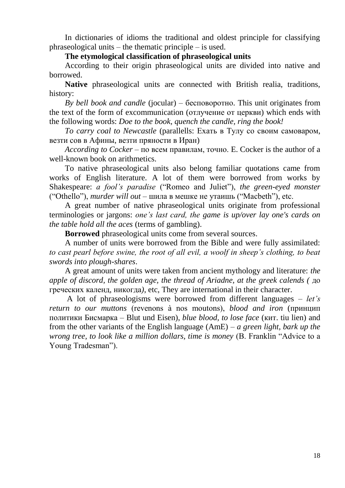In dictionaries of idioms the traditional and oldest principle for classifying phraseological units – the thematic principle – is used.

#### **The etymological classification of phraseological units**

According to their origin phraseological units are divided into native and borrowed.

**Native** phraseological units are connected with British realia, traditions, history:

*By bell book and candle* (jocular) – бесповоротно. This unit originates from the text of the form of excommunication (отлучение от церкви) which ends with the following words: *Doe to the book, quench the candle, ring the book!*

*To carry coal to Newcastle* (parallells: Ехать в Тулу со своим самоваром, везти сов в Афины, везти пряности в Иран)

*According to Cocker* – по всем правилам, точно. E. Cocker is the author of a well-known book on arithmetics.

To native phraseological units also belong familiar quotations came from works of English literature. A lot of them were borrowed from works by Shakespeare: *a fool's paradise* ("Romeo and Juliet"), *the green-eyed monster* ("Othello"), *murder will out* – шила в мешке не утаишь ("Macbeth"), etc.

A great number of native phraseological units originate from professional terminologies or jargons: *one's last card, the game is up/over lay one's cards on the table hold all the aces* (terms of gambling).

**Borrowed** phraseological units come from several sources.

A number of units were borrowed from the Bible and were fully assimilated: *to cast pearl before swine, the root of all evil, a woolf in sheep's clothing, to beat swords into plough-shares*.

A great amount of units were taken from ancient mythology and literature: *the apple of discord, the golden age, the thread of Ariadne, at the greek calends (* до греческих календ, никогда*)*, etc, They are international in their character.

A lot of phraseologisms were borrowed from different languages – *let's return to our muttons* (revenons à nos moutons), *blood and iron* (принцип политики Бисмарка – Blut und Eisen), *blue blood, to lose face* (кит. tiu lien) and from the other variants of the English language (AmE) – *a green light, bark up the wrong tree, to look like a million dollars, time is money* (B. Franklin "Advice to a Young Tradesman").